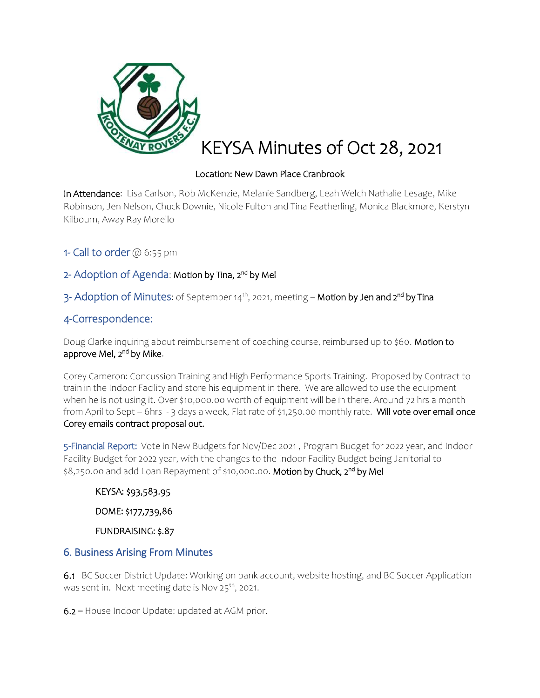

## Location: New Dawn Place Cranbrook

In Attendance: Lisa Carlson, Rob McKenzie, Melanie Sandberg, Leah Welch Nathalie Lesage, Mike Robinson, Jen Nelson, Chuck Downie, Nicole Fulton and Tina Featherling, Monica Blackmore, Kerstyn Kilbourn, Away Ray Morello

1- Call to order  $@$  6:55 pm

## 2- Adoption of Agenda: Motion by Tina, 2<sup>nd</sup> by Mel

3- Adoption of Minutes: of September 14<sup>th</sup>, 2021, meeting – **Motion by Jen and 2<sup>nd</sup> by Tina** 

# 4-Correspondence:

Doug Clarke inquiring about reimbursement of coaching course, reimbursed up to \$60. Motion to approve Mel, 2<sup>nd</sup> by Mike.

Corey Cameron: Concussion Training and High Performance Sports Training. Proposed by Contract to train in the Indoor Facility and store his equipment in there. We are allowed to use the equipment when he is not using it. Over \$10,000.00 worth of equipment will be in there. Around 72 hrs a month from April to Sept - 6hrs - 3 days a week, Flat rate of \$1,250.00 monthly rate. Will vote over email once Corey emails contract proposal out.

5-Financial Report: Vote in New Budgets for Nov/Dec 2021 , Program Budget for 2022 year, and Indoor Facility Budget for 2022 year, with the changes to the Indoor Facility Budget being Janitorial to \$8,250.00 and add Loan Repayment of \$10,000.00. **Motion by Chuck, 2<sup>nd</sup> by Mel** 

KEYSA: \$93,583.95 DOME: \$177,739,86

FUNDRAISING: \$.87

## 6. Business Arising From Minutes

6.1BC Soccer District Update: Working on bank account, website hosting, and BC Soccer Application was sent in. Next meeting date is Nov  $25^{th}$ , 2021.

6.2 – House Indoor Update: updated at AGM prior.